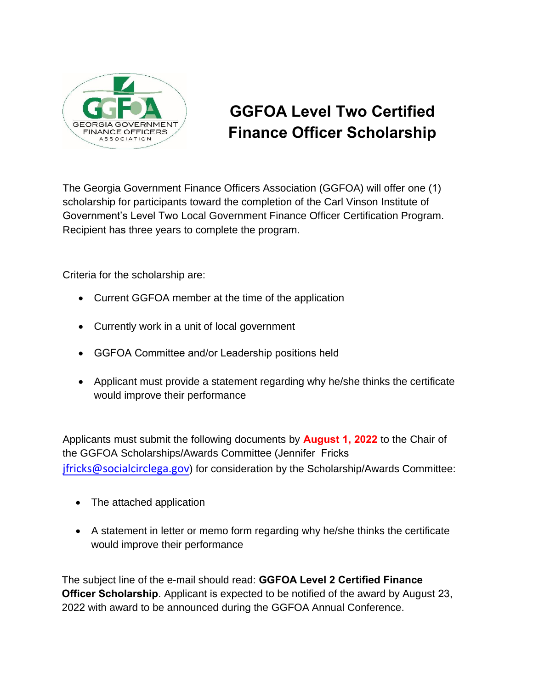

## **GGFOA Level Two Certified Finance Officer Scholarship**

The Georgia Government Finance Officers Association (GGFOA) will offer one (1) scholarship for participants toward the completion of the Carl Vinson Institute of Government's Level Two Local Government Finance Officer Certification Program. Recipient has three years to complete the program.

Criteria for the scholarship are:

- Current GGFOA member at the time of the application
- Currently work in a unit of local government
- GGFOA Committee and/or Leadership positions held
- Applicant must provide a statement regarding why he/she thinks the certificate would improve their performance

Applicants must submit the following documents by **August 1, 2022** to the Chair of the GGFOA Scholarships/Awards Committee (Jennifer Fricks [jfricks@socialcirclega.gov](mailto:jfricks@socialcirclega.gov)) for consideration by the Scholarship/Awards Committee:

- The attached application
- A statement in letter or memo form regarding why he/she thinks the certificate would improve their performance

The subject line of the e-mail should read: **GGFOA Level 2 Certified Finance Officer Scholarship**. Applicant is expected to be notified of the award by August 23, 2022 with award to be announced during the GGFOA Annual Conference.